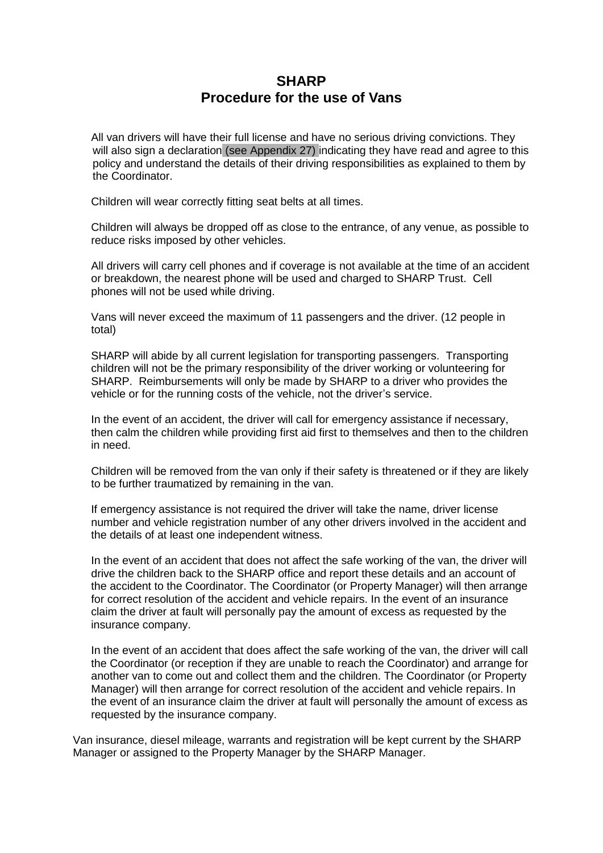## **SHARP Procedure for the use of Vans**

All van drivers will have their full license and have no serious driving convictions. They will also sign a declaration (see Appendix 27) indicating they have read and agree to this policy and understand the details of their driving responsibilities as explained to them by the Coordinator.

Children will wear correctly fitting seat belts at all times.

Children will always be dropped off as close to the entrance, of any venue, as possible to reduce risks imposed by other vehicles.

All drivers will carry cell phones and if coverage is not available at the time of an accident or breakdown, the nearest phone will be used and charged to SHARP Trust. Cell phones will not be used while driving.

Vans will never exceed the maximum of 11 passengers and the driver. (12 people in total)

SHARP will abide by all current legislation for transporting passengers. Transporting children will not be the primary responsibility of the driver working or volunteering for SHARP. Reimbursements will only be made by SHARP to a driver who provides the vehicle or for the running costs of the vehicle, not the driver's service.

In the event of an accident, the driver will call for emergency assistance if necessary, then calm the children while providing first aid first to themselves and then to the children in need.

Children will be removed from the van only if their safety is threatened or if they are likely to be further traumatized by remaining in the van.

If emergency assistance is not required the driver will take the name, driver license number and vehicle registration number of any other drivers involved in the accident and the details of at least one independent witness.

In the event of an accident that does not affect the safe working of the van, the driver will drive the children back to the SHARP office and report these details and an account of the accident to the Coordinator. The Coordinator (or Property Manager) will then arrange for correct resolution of the accident and vehicle repairs. In the event of an insurance claim the driver at fault will personally pay the amount of excess as requested by the insurance company.

In the event of an accident that does affect the safe working of the van, the driver will call the Coordinator (or reception if they are unable to reach the Coordinator) and arrange for another van to come out and collect them and the children. The Coordinator (or Property Manager) will then arrange for correct resolution of the accident and vehicle repairs. In the event of an insurance claim the driver at fault will personally the amount of excess as requested by the insurance company.

Van insurance, diesel mileage, warrants and registration will be kept current by the SHARP Manager or assigned to the Property Manager by the SHARP Manager.